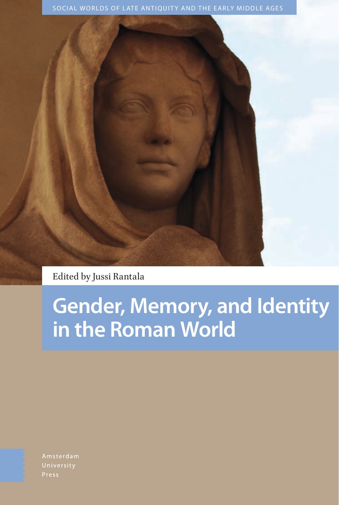



Edited by Jussi Rantala

# **Gender, Memory, and Identity in the Roman World**



Press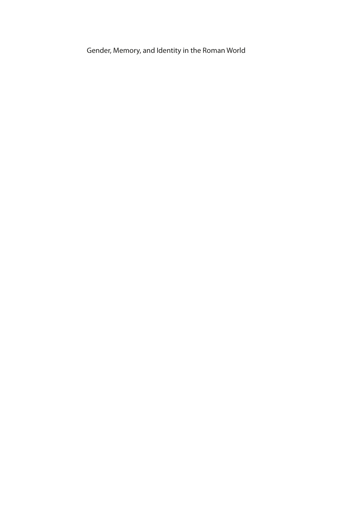Gender, Memory, and Identity in the Roman World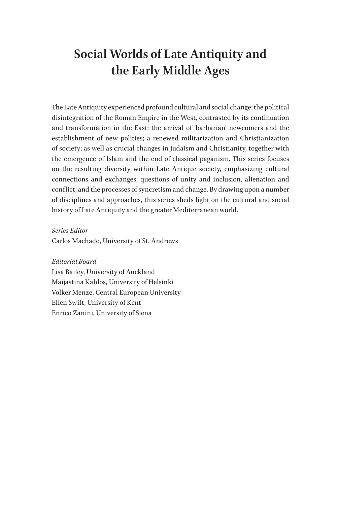## **Social Worlds of Late Antiquity and the Early Middle Ages**

The Late Antiquity experienced profound cultural and social change: the political disintegration of the Roman Empire in the West, contrasted by its continuation and transformation in the East; the arrival of 'barbarian' newcomers and the establishment of new polities; a renewed militarization and Christianization of society; as well as crucial changes in Judaism and Christianity, together with the emergence of Islam and the end of classical paganism. This series focuses on the resulting diversity within Late Antique society, emphasizing cultural connections and exchanges; questions of unity and inclusion, alienation and conflict; and the processes of syncretism and change. By drawing upon a number of disciplines and approaches, this series sheds light on the cultural and social history of Late Antiquity and the greater Mediterranean world.

#### *Series Editor*

Carlos Machado, University of St. Andrews

#### *Editorial Board*

Lisa Bailey, University of Auckland Maijastina Kahlos, University of Helsinki Volker Menze, Central European University Ellen Swift, University of Kent Enrico Zanini, University of Siena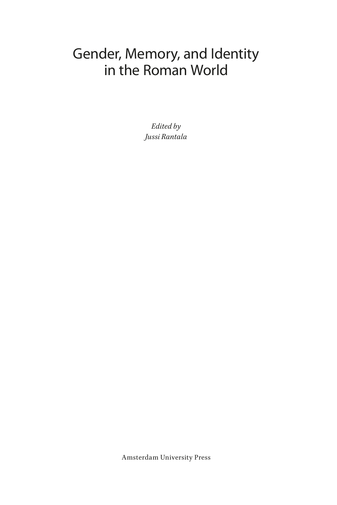# Gender, Memory, and Identity in the Roman World

*Edited by Jussi Rantala*

Amsterdam University Press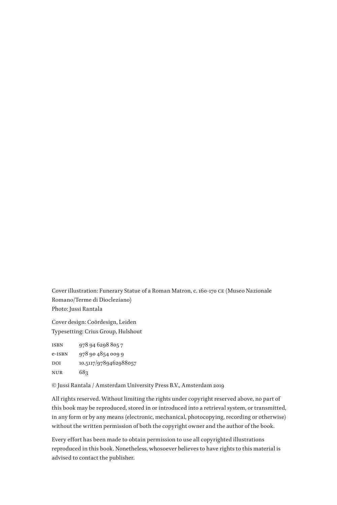Cover illustration: Funerary Statue of a Roman Matron, c. 160-170 ce (Museo Nazionale Romano/Terme di Diocleziano) Photo: Jussi Rantala

Cover design: Coördesign, Leiden Typesetting: Crius Group, Hulshout

isbn 978 94 6298 805 7 e-isbn 978 90 4854 009 9 DOI 10.5117/9789462988057 nur 683

© Jussi Rantala / Amsterdam University Press B.V., Amsterdam 2019

All rights reserved. Without limiting the rights under copyright reserved above, no part of this book may be reproduced, stored in or introduced into a retrieval system, or transmitted, in any form or by any means (electronic, mechanical, photocopying, recording or otherwise) without the written permission of both the copyright owner and the author of the book.

Every effort has been made to obtain permission to use all copyrighted illustrations reproduced in this book. Nonetheless, whosoever believes to have rights to this material is advised to contact the publisher.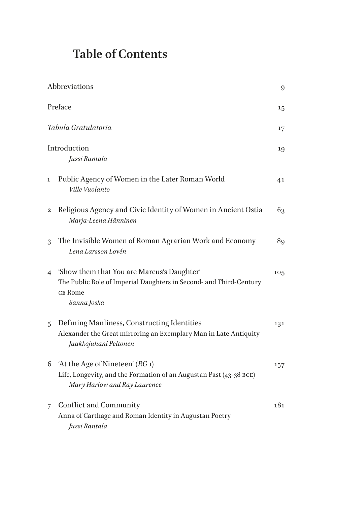# **Table of Contents**

| Abbreviations  |                                                                                                                                            | 9   |
|----------------|--------------------------------------------------------------------------------------------------------------------------------------------|-----|
|                | Preface                                                                                                                                    | 15  |
|                | Tabula Gratulatoria                                                                                                                        | 17  |
|                | Introduction<br>Jussi Rantala                                                                                                              | 19  |
| $\mathbf{1}$   | Public Agency of Women in the Later Roman World<br>Ville Vuolanto                                                                          | 41  |
| 2              | Religious Agency and Civic Identity of Women in Ancient Ostia<br>Marja-Leena Hänninen                                                      | 63  |
| 3              | The Invisible Women of Roman Agrarian Work and Economy<br>Lena Larsson Lovén                                                               | 89  |
| $\overline{4}$ | 'Show them that You are Marcus's Daughter'<br>The Public Role of Imperial Daughters in Second- and Third-Century<br>CE Rome<br>Sanna Joska | 105 |
| 5              | Defining Manliness, Constructing Identities<br>Alexander the Great mirroring an Exemplary Man in Late Antiquity<br>Jaakkojuhani Peltonen   | 131 |
| 6              | 'At the Age of Nineteen' $(RG_1)$<br>Life, Longevity, and the Formation of an Augustan Past (43-38 BCE)<br>Mary Harlow and Ray Laurence    | 157 |
| 7              | Conflict and Community<br>Anna of Carthage and Roman Identity in Augustan Poetry<br>Jussi Rantala                                          | 181 |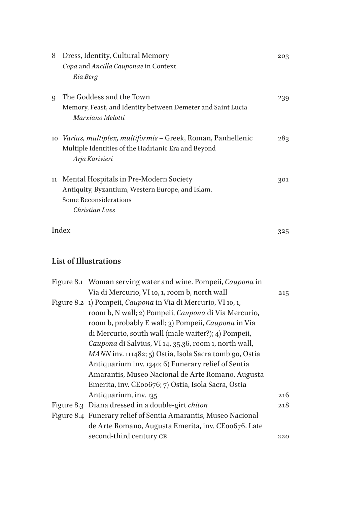| 8  | Dress, Identity, Cultural Memory                              | 203 |
|----|---------------------------------------------------------------|-----|
|    | Copa and Ancilla Cauponae in Context                          |     |
|    | Ria Berg                                                      |     |
| q  | The Goddess and the Town                                      | 239 |
|    | Memory, Feast, and Identity between Demeter and Saint Lucia   |     |
|    | Marxiano Melotti                                              |     |
|    | 10 Varius, multiplex, multiformis - Greek, Roman, Panhellenic | 283 |
|    | Multiple Identities of the Hadrianic Era and Beyond           |     |
|    | Arja Karivieri                                                |     |
| 11 | Mental Hospitals in Pre-Modern Society                        | 301 |
|    | Antiquity, Byzantium, Western Europe, and Islam.              |     |
|    | Some Reconsiderations                                         |     |
|    | Christian Laes                                                |     |
|    |                                                               |     |

### [Index](#page--1-0) 325

### **List of Illustrations**

| Figure 8.1 Woman serving water and wine. Pompeii, Caupona in   |     |
|----------------------------------------------------------------|-----|
| Via di Mercurio, VI 10, 1, room b, north wall                  | 215 |
| Figure 8.2 1) Pompeii, Caupona in Via di Mercurio, VI 10, 1,   |     |
| room b, N wall; 2) Pompeii, Caupona di Via Mercurio,           |     |
| room b, probably E wall; 3) Pompeii, Caupona in Via            |     |
| di Mercurio, south wall (male waiter?); 4) Pompeii,            |     |
| Caupona di Salvius, VI 14, 35.36, room 1, north wall,          |     |
| MANN inv. 111482; 5) Ostia, Isola Sacra tomb 90, Ostia         |     |
| Antiquarium inv. 1340; 6) Funerary relief of Sentia            |     |
| Amarantis, Museo Nacional de Arte Romano, Augusta              |     |
| Emerita, inv. CE00676; 7) Ostia, Isola Sacra, Ostia            |     |
| Antiquarium, inv. 135                                          | 216 |
| Figure 8.3 Diana dressed in a double-girt chiton               | 218 |
| Figure 8.4 Funerary relief of Sentia Amarantis, Museo Nacional |     |
| de Arte Romano, Augusta Emerita, inv. CE00676. Late            |     |
| second-third century CE                                        | 220 |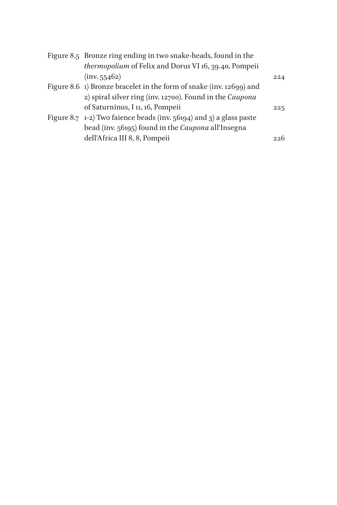| Figure 8.5 Bronze ring ending in two snake-heads, found in the      |     |
|---------------------------------------------------------------------|-----|
| thermopolium of Felix and Dorus VI 16, 39.40, Pompeii               |     |
| (inv. 55462)                                                        | 224 |
| Figure 8.6 1) Bronze bracelet in the form of snake (inv. 12699) and |     |
| 2) spiral silver ring (inv. 12700). Found in the Caupona            |     |
| of Saturninus, I 11, 16, Pompeii                                    | 225 |
| Figure 8.7 1-2) Two faience beads (inv. 56194) and 3) a glass paste |     |
| bead (inv. 56195) found in the Caupona all'Insegna                  |     |
| dell'Africa III 8, 8, Pompeii                                       | 226 |
|                                                                     |     |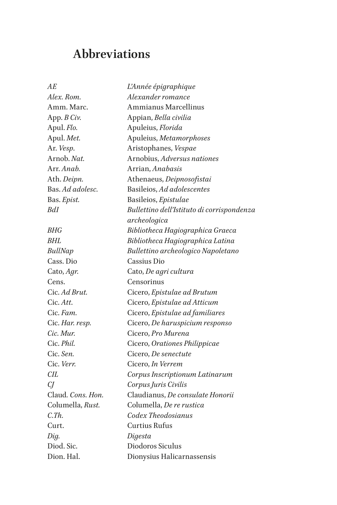# <span id="page-9-0"></span>**Abbreviations**

| AE                | L'Année épigraphique                       |
|-------------------|--------------------------------------------|
| Alex. Rom.        | Alexander romance                          |
| Amm. Marc.        | Ammianus Marcellinus                       |
| App. B Civ.       | Appian, Bella civilia                      |
| Apul. Flo.        | Apuleius, Florida                          |
| Apul. Met.        | Apuleius, Metamorphoses                    |
| Ar. Vesp.         | Aristophanes, Vespae                       |
| Arnob. Nat.       | Arnobius, Adversus nationes                |
| Arr. Anab.        | Arrian, Anabasis                           |
| Ath. Deipn.       | Athenaeus, Deipnosofistai                  |
| Bas. Ad adolesc.  | Basileios, Ad adolescentes                 |
| Bas. Epist.       | Basileios, Epistulae                       |
| BdI               | Bullettino dell'Istituto di corrispondenza |
|                   | archeologica                               |
| BHG               | Bibliotheca Hagiographica Graeca           |
| BHL               | Bibliotheca Hagiographica Latina           |
| BullNap           | Bullettino archeologico Napoletano         |
| Cass. Dio         | Cassius Dio                                |
| Cato, Agr.        | Cato, De agri cultura                      |
| Cens.             | Censorinus                                 |
| Cic. Ad Brut.     | Cicero, Epistulae ad Brutum                |
| $Cic$ . Att.      | Cicero, Epistulae ad Atticum               |
| Cic. Fam.         | Cicero, Epistulae ad familiares            |
| Cic. Har. resp.   | Cicero, De haruspicium responso            |
| Cic. Mur.         | Cicero, Pro Murena                         |
| Cic. Phil.        | Cicero, Orationes Philippicae              |
| Cic. Sen.         | Cicero, De senectute                       |
| Cic. Verr.        | Cicero, In Verrem                          |
| CIL               | Corpus Inscriptionum Latinarum             |
| $C\!J$            | Corpus Juris Civilis                       |
| Claud. Cons. Hon. | Claudianus, De consulate Honorii           |
| Columella, Rust.  | Columella, De re rustica                   |
| $C$ .Th.          | Codex Theodosianus                         |
| Curt.             | <b>Curtius Rufus</b>                       |
| Dig.              | Digesta                                    |
| Diod. Sic.        | Diodoros Siculus                           |
| Dion. Hal.        | Dionysius Halicarnassensis                 |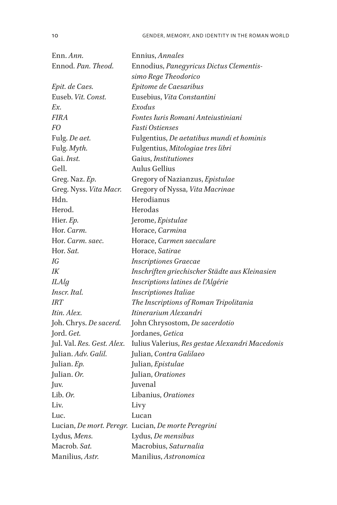| Enn. Ann.                         | Ennius, Annales                                     |
|-----------------------------------|-----------------------------------------------------|
| Ennod. Pan. Theod.                | Ennodius, Panegyricus Dictus Clementis-             |
|                                   | simo Rege Theodorico                                |
| Epit. de Caes.                    | Epitome de Caesaribus                               |
| Euseb. Vit. Const.                | Eusebius, Vita Constantini                          |
| Ex.                               | Exodus                                              |
| <i>FIRA</i>                       | Fontes Iuris Romani Anteiustiniani                  |
| FO                                | <b>Fasti Ostienses</b>                              |
| Fulg. De aet.                     | Fulgentius, De aetatibus mundi et hominis           |
| Fulg. Myth.                       | Fulgentius, Mitologiae tres libri                   |
| Gai. Inst.                        | Gaius, Institutiones                                |
| Gell.                             | <b>Aulus Gellius</b>                                |
| Greg. Naz. Ep.                    | Gregory of Nazianzus, Epistulae                     |
| Greg. Nyss. Vita Macr.            | Gregory of Nyssa, Vita Macrinae                     |
| Hdn.                              | Herodianus                                          |
| Herod.                            | Herodas                                             |
| Hier. Ep.                         | Jerome, Epistulae                                   |
| Hor. Carm.                        | Horace, Carmina                                     |
| Hor. Carm. saec.                  | Horace, Carmen saeculare                            |
| Hor. Sat.                         | Horace, Satirae                                     |
| IG                                | <b>Inscriptiones Graecae</b>                        |
| IK                                | Inschriften griechischer Städte aus Kleinasien      |
| <b>ILAlg</b>                      | Inscriptions latines de l'Algérie                   |
| Inscr. Ital.                      | Inscriptiones Italiae                               |
| IRT                               | The Inscriptions of Roman Tripolitania              |
| Itin. Alex.                       | Itinerarium Alexandri                               |
| Joh. Chrys. De sacerd.            | John Chrysostom, De sacerdotio                      |
| Jord. Get.                        | Jordanes, Getica                                    |
| Jul. Val. <i>Res. Gest. Alex.</i> | Iulius Valerius, Res gestae Alexandri Macedonis     |
| Julian. Adv. Galil.               | Julian, Contra Galilaeo                             |
| Julian. <i>Ep</i> .               | Julian, Epistulae                                   |
| Julian. <i>Or</i> .               | Julian, Orationes                                   |
| Juv.                              | Juvenal                                             |
| Lib. Or.                          | Libanius, Orationes                                 |
| Liv.                              | Livy                                                |
| Luc.                              | Lucan                                               |
|                                   | Lucian, De mort. Peregr. Lucian, De morte Peregrini |
| Lydus, Mens.                      | Lydus, De mensibus                                  |
| Macrob. Sat.                      | Macrobius, Saturnalia                               |
| Manilius, Astr.                   | Manilius, Astronomica                               |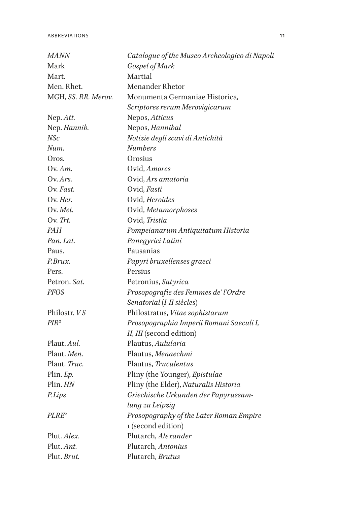| <b>MANN</b>         | Catalogue of the Museo Archeologico di Napoli |
|---------------------|-----------------------------------------------|
| Mark                | Gospel of Mark                                |
| Mart.               | Martial                                       |
| Men. Rhet.          | <b>Menander Rhetor</b>                        |
| MGH, SS. RR. Merov. | Monumenta Germaniae Historica,                |
|                     | Scriptores rerum Merovigicarum                |
| Nep. Att.           | Nepos, Atticus                                |
| Nep. Hannib.        | Nepos, Hannibal                               |
| NSc                 | Notizie degli scavi di Antichità              |
| Num.                | <b>Numbers</b>                                |
| Oros.               | Orosius                                       |
| $Ov.$ <i>Am.</i>    | Ovid, Amores                                  |
| Ov. Ars.            | Ovid, Ars amatoria                            |
| Ov. Fast.           | Ovid, Fasti                                   |
| Ov. Her.            | Ovid, Heroides                                |
| Ov. Met.            | Ovid, Metamorphoses                           |
| $Ov$ . Trt.         | Ovid, Tristia                                 |
| PAH                 | Pompeianarum Antiquitatum Historia            |
| Pan. Lat.           | Panegyrici Latini                             |
| Paus.               | Pausanias                                     |
| P.Brux.             | Papyri bruxellenses graeci                    |
| Pers.               | Persius                                       |
| Petron. Sat.        | Petronius, Satyrica                           |
| <b>PFOS</b>         | Prosopografie des Femmes de' l'Ordre          |
|                     | Senatorial (I-II siècles)                     |
| Philostr. VS        | Philostratus, Vitae sophistarum               |
| PIR <sup>2</sup>    | Prosopographia Imperii Romani Saeculi I,      |
|                     | II, III (second edition)                      |
| Plaut. Aul.         | Plautus, Aulularia                            |
| Plaut. Men.         | Plautus, Menaechmi                            |
| Plaut. Truc.        | Plautus, Truculentus                          |
| Plin. Ep.           | Pliny (the Younger), Epistulae                |
| Plin. HN            | Pliny (the Elder), Naturalis Historia         |
| P.Lips              | Griechische Urkunden der Papyrussam-          |
|                     | lung zu Leipzig                               |
| $PLRE^2$            | Prosopography of the Later Roman Empire       |
|                     | 1 (second edition)                            |
| Plut. Alex.         | Plutarch, Alexander                           |
| Plut. Ant.          | Plutarch, Antonius                            |
| Plut. Brut.         | Plutarch, Brutus                              |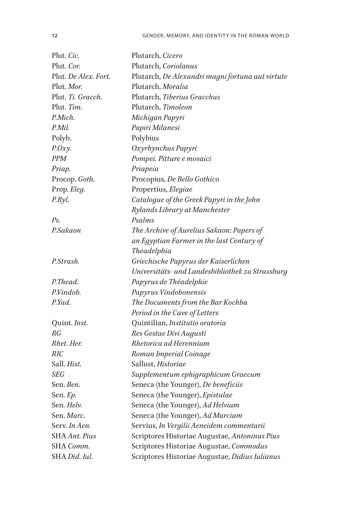| Plut. Cic.           | Plutarch, Cicero                                 |
|----------------------|--------------------------------------------------|
| Plut. Cor.           | Plutarch, Coriolanus                             |
| Plut. De Alex. Fort. | Plutarch, De Alexandri magni fortuna aut virtute |
| Plut. Mor.           | Plutarch, Moralia                                |
| Plut. Ti. Gracch.    | Plutarch, Tiberius Gracchus                      |
| Plut. Tim.           | Plutarch, Timoleon                               |
| P.Mich.              | Michigan Papyri                                  |
| P.Mil.               | Papiri Milanesi                                  |
| Polyb.               | Polybius                                         |
| P. Oxy.              | Oxyrhynchus Papyri                               |
| <b>PPM</b>           | Pompei. Pitture e mosaici                        |
| Priap.               | Priapeia                                         |
| Procop. Goth.        | Procopius, De Bello Gothico                      |
| Prop. Eleg.          | Propertius, Elegiae                              |
| P.Ryl.               | Catalogue of the Greek Papyri in the John        |
|                      | Rylands Library at Manchester                    |
| Ps.                  | Psalms                                           |
| P.Sakaon             | The Archive of Aurelius Sakaon: Papers of        |
|                      | an Egyptian Farmer in the last Century of        |
|                      | Theadelphia                                      |
| P.Strasb.            | Griechische Papyrus der Kaiserlichen             |
|                      | Universitäts- und Landesbibliothek zu Strassburg |
| P.Thead.             | Papyrus de Théadelphie                           |
| P.Vindob.            | Papyrus Vindobonensis                            |
| P.Yad.               | The Documents from the Bar Kochba                |
|                      | Period in the Cave of Letters                    |
| Quint. Inst.         | Quintilian, Institutio oratoria                  |
| RG                   | Res Gestae Divi Augusti                          |
| Rhet. Her.           | Rhetorica ad Herennium                           |
| RIC                  | Roman Imperial Coinage                           |
| Sall. Hist.          | Sallust, Historiae                               |
| <b>SEG</b>           | Supplementum ephigraphicum Graecum               |
| Sen. Ben.            | Seneca (the Younger), De beneficiis              |
| Sen. Ep.             | Seneca (the Younger), Epistulae                  |
| Sen. Helv.           | Seneca (the Younger), Ad Helviam                 |
| Sen. Marc.           | Seneca (the Younger), Ad Marciam                 |
| Serv. In Aen.        | Servius, In Vergilii Aeneidem commentarii        |
| SHA Ant. Pius        | Scriptores Historiae Augustae, Antoninus Pius    |
| SHA Comm.            | Scriptores Historiae Augustae, Commodus          |
| SHA Did. Iul.        | Scriptores Historiae Augustae, Didius Iulianus   |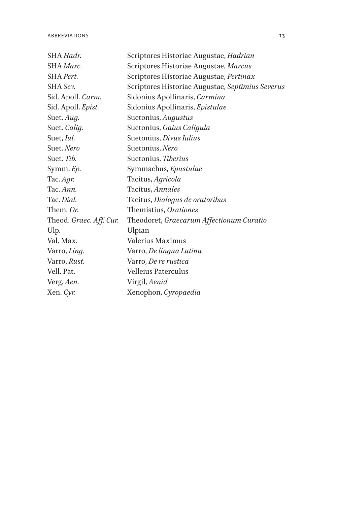| SHA Hadr.               | Scriptores Historiae Augustae, Hadrian           |
|-------------------------|--------------------------------------------------|
| SHA Marc.               | Scriptores Historiae Augustae, Marcus            |
| SHA Pert.               | Scriptores Historiae Augustae, Pertinax          |
| SHA Sev.                | Scriptores Historiae Augustae, Septimius Severus |
| Sid. Apoll. Carm.       | Sidonius Apollinaris, Carmina                    |
| Sid. Apoll. Epist.      | Sidonius Apollinaris, Epistulae                  |
| Suet. Aug.              | Suetonius, Augustus                              |
| Suet. Calig.            | Suetonius, Gaius Caligula                        |
| Suet, Iul.              | Suetonius, Divus Iulius                          |
| Suet. Nero              | Suetonius, Nero                                  |
| Suet. Tib.              | Suetonius, Tiberius                              |
| Symm. Ep.               | Symmachus, Epustulae                             |
| Tac. Agr.               | Tacitus, Agricola                                |
| Tac. Ann.               | Tacitus, Annales                                 |
| Tac. Dial.              | Tacitus, Dialogus de oratoribus                  |
| Them. Or.               | Themistius, Orationes                            |
| Theod. Graec. Aff. Cur. | Theodoret, Graecarum Affectionum Curatio         |
| Ulp.                    | Ulpian                                           |
| Val. Max.               | Valerius Maximus                                 |
| Varro, Ling.            | Varro, De lingua Latina                          |
| Varro, Rust.            | Varro, De re rustica                             |
| Vell. Pat.              | Velleius Paterculus                              |
| Verg. Aen.              | Virgil, Aenid                                    |
| Xen. Cyr.               | Xenophon, Cyropaedia                             |
|                         |                                                  |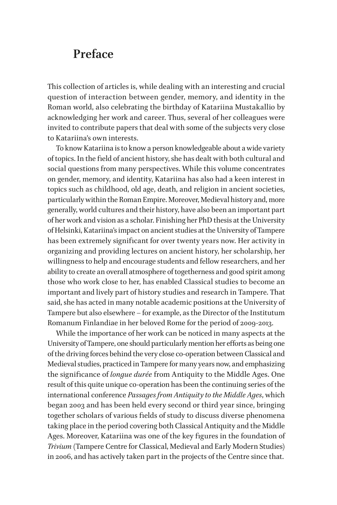### <span id="page-15-0"></span>**Preface**

This collection of articles is, while dealing with an interesting and crucial question of interaction between gender, memory, and identity in the Roman world, also celebrating the birthday of Katariina Mustakallio by acknowledging her work and career. Thus, several of her colleagues were invited to contribute papers that deal with some of the subjects very close to Katariina's own interests.

To know Katariina is to know a person knowledgeable about a wide variety of topics. In the field of ancient history, she has dealt with both cultural and social questions from many perspectives. While this volume concentrates on gender, memory, and identity, Katariina has also had a keen interest in topics such as childhood, old age, death, and religion in ancient societies, particularly within the Roman Empire. Moreover, Medieval history and, more generally, world cultures and their history, have also been an important part of her work and vision as a scholar. Finishing her PhD thesis at the University of Helsinki, Katariina's impact on ancient studies at the University of Tampere has been extremely significant for over twenty years now. Her activity in organizing and providing lectures on ancient history, her scholarship, her willingness to help and encourage students and fellow researchers, and her ability to create an overall atmosphere of togetherness and good spirit among those who work close to her, has enabled Classical studies to become an important and lively part of history studies and research in Tampere. That said, she has acted in many notable academic positions at the University of Tampere but also elsewhere – for example, as the Director of the Institutum Romanum Finlandiae in her beloved Rome for the period of 2009-2013.

While the importance of her work can be noticed in many aspects at the University of Tampere, one should particularly mention her efforts as being one of the driving forces behind the very close co-operation between Classical and Medieval studies, practiced in Tampere for many years now, and emphasizing the significance of *longue durée* from Antiquity to the Middle Ages. One result of this quite unique co-operation has been the continuing series of the international conference *Passages from Antiquity to the Middle Ages*, which began 2003 and has been held every second or third year since, bringing together scholars of various fields of study to discuss diverse phenomena taking place in the period covering both Classical Antiquity and the Middle Ages. Moreover, Katariina was one of the key figures in the foundation of *Trivium* (Tampere Centre for Classical, Medieval and Early Modern Studies) in 2006, and has actively taken part in the projects of the Centre since that.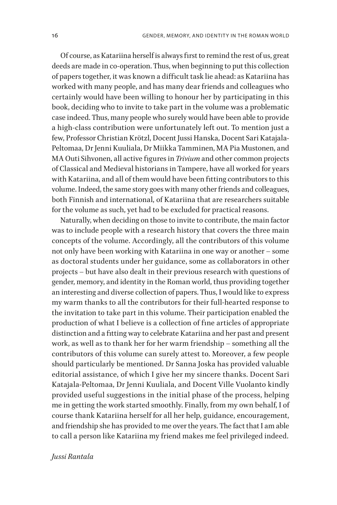Of course, as Katariina herself is always first to remind the rest of us, great deeds are made in co-operation. Thus, when beginning to put this collection of papers together, it was known a difficult task lie ahead: as Katariina has worked with many people, and has many dear friends and colleagues who certainly would have been willing to honour her by participating in this book, deciding who to invite to take part in the volume was a problematic case indeed. Thus, many people who surely would have been able to provide a high-class contribution were unfortunately left out. To mention just a few, Professor Christian Krötzl, Docent Jussi Hanska, Docent Sari Katajala-Peltomaa, Dr Jenni Kuuliala, Dr Miikka Tamminen, MA Pia Mustonen, and MA Outi Sihvonen, all active figures in *Trivium* and other common projects of Classical and Medieval historians in Tampere, have all worked for years with Katariina, and all of them would have been fitting contributors to this volume. Indeed, the same story goes with many other friends and colleagues, both Finnish and international, of Katariina that are researchers suitable for the volume as such, yet had to be excluded for practical reasons.

Naturally, when deciding on those to invite to contribute, the main factor was to include people with a research history that covers the three main concepts of the volume. Accordingly, all the contributors of this volume not only have been working with Katariina in one way or another – some as doctoral students under her guidance, some as collaborators in other projects – but have also dealt in their previous research with questions of gender, memory, and identity in the Roman world, thus providing together an interesting and diverse collection of papers. Thus, I would like to express my warm thanks to all the contributors for their full-hearted response to the invitation to take part in this volume. Their participation enabled the production of what I believe is a collection of fine articles of appropriate distinction and a fitting way to celebrate Katariina and her past and present work, as well as to thank her for her warm friendship – something all the contributors of this volume can surely attest to. Moreover, a few people should particularly be mentioned. Dr Sanna Joska has provided valuable editorial assistance, of which I give her my sincere thanks. Docent Sari Katajala-Peltomaa, Dr Jenni Kuuliala, and Docent Ville Vuolanto kindly provided useful suggestions in the initial phase of the process, helping me in getting the work started smoothly. Finally, from my own behalf, I of course thank Katariina herself for all her help, guidance, encouragement, and friendship she has provided to me over the years. The fact that I am able to call a person like Katariina my friend makes me feel privileged indeed.

#### *Jussi Rantala*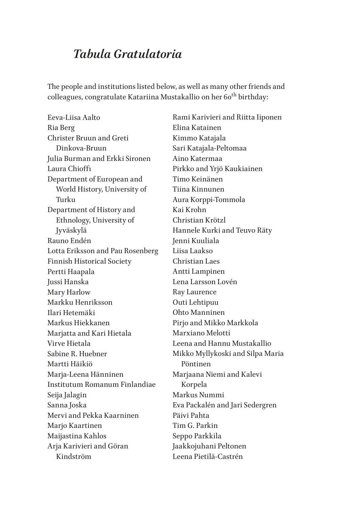### <span id="page-17-0"></span>*Tabula Gratulatoria*

The people and institutions listed below, as well as many other friends and colleagues, congratulate Katariina Mustakallio on her 60<sup>th</sup> birthday:

Eeva-Liisa Aalto Ria Berg Christer Bruun and Greti Dinkova-Bruun Julia Burman and Erkki Sironen Laura Chioffi Department of European and World History, University of Turku Department of History and Ethnology, University of Jyväskylä Rauno Endén Lotta Eriksson and Pau Rosenberg Finnish Historical Society Pertti Haapala Jussi Hanska Mary Harlow Markku Henriksson Ilari Hetemäki Markus Hiekkanen Marjatta and Kari Hietala Virve Hietala Sabine R. Huebner Martti Häikiö Marja-Leena Hänninen Institutum Romanum Finlandiae Seija Jalagin Sanna Joska Mervi and Pekka Kaarninen Marjo Kaartinen Maijastina Kahlos Arja Karivieri and Göran Kindström

Rami Karivieri and Riitta Iiponen Elina Katainen Kimmo Katajala Sari Katajala-Peltomaa Aino Katermaa Pirkko and Yrjö Kaukiainen Timo Keinänen Tiina Kinnunen Aura Korppi-Tommola Kai Krohn Christian Krötzl Hannele Kurki and Teuvo Räty Jenni Kuuliala Liisa Laakso Christian Laes Antti Lampinen Lena Larsson Lovén Ray Laurence Outi Lehtipuu Ohto Manninen Pirjo and Mikko Markkola Marxiano Melotti Leena and Hannu Mustakallio Mikko Myllykoski and Silpa Maria Pöntinen Marjaana Niemi and Kalevi Korpela Markus Nummi Eva Packalén and Jari Sedergren Päivi Pahta Tim G. Parkin Seppo Parkkila Jaakkojuhani Peltonen Leena Pietilä-Castrén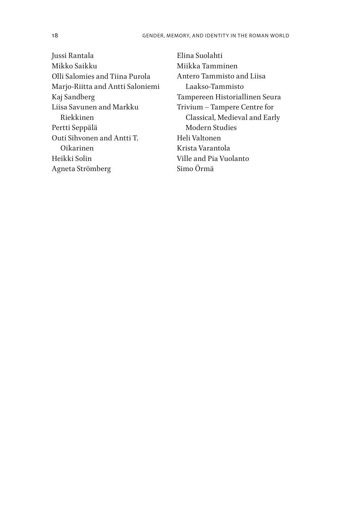Jussi Rantala Mikko Saikku Olli Salomies and Tiina Purola Marjo-Riitta and Antti Saloniemi Kaj Sandberg Liisa Savunen and Markku Riekkinen Pertti Seppälä Outi Sihvonen and Antti T. Oikarinen Heikki Solin Agneta Strömberg

Elina Suolahti Miikka Tamminen Antero Tammisto and Liisa Laakso-Tammisto Tampereen Historiallinen Seura Trivium – Tampere Centre for Classical, Medieval and Early Modern Studies Heli Valtonen Krista Varantola Ville and Pia Vuolanto Simo Örmä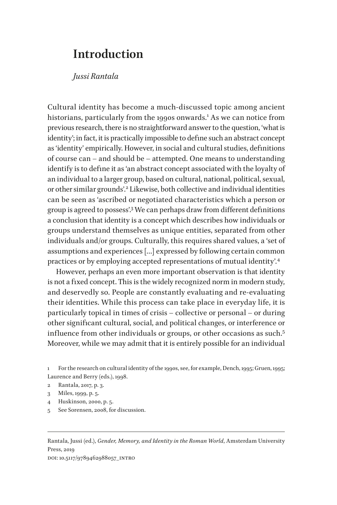### <span id="page-19-0"></span>**Introduction**

*Jussi Rantala*

Cultural identity has become a much-discussed topic among ancient historians, particularly from the 1990s onwards.<sup>1</sup> As we can notice from previous research, there is no straightforward answer to the question, 'what is identity'; in fact, it is practically impossible to define such an abstract concept as 'identity' empirically. However, in social and cultural studies, definitions of course can – and should be – attempted. One means to understanding identify is to define it as 'an abstract concept associated with the loyalty of an individual to a larger group, based on cultural, national, political, sexual, or other similar grounds'.<sup>2</sup> Likewise, both collective and individual identities can be seen as 'ascribed or negotiated characteristics which a person or group is agreed to possess'.3 We can perhaps draw from different definitions a conclusion that identity is a concept which describes how individuals or groups understand themselves as unique entities, separated from other individuals and/or groups. Culturally, this requires shared values, a 'set of assumptions and experiences […] expressed by following certain common practices or by employing accepted representations of mutual identity'.<sup>4</sup>

However, perhaps an even more important observation is that identity is not a fixed concept. This is the widely recognized norm in modern study, and deservedly so. People are constantly evaluating and re-evaluating their identities. While this process can take place in everyday life, it is particularly topical in times of crisis – collective or personal – or during other significant cultural, social, and political changes, or interference or influence from other individuals or groups, or other occasions as such.<sup>5</sup> Moreover, while we may admit that it is entirely possible for an individual

1 For the research on cultural identity of the 1990s, see, for example, Dench, 1995; Gruen, 1995; Laurence and Berry (eds.), 1998.

- 2 Rantala, 2017, p. 3.
- 3 Miles, 1999, p. 5.
- 4 Huskinson, 2000, p. 5.
- 5 See Sorensen, 2008, for discussion.

Rantala, Jussi (ed.), *Gender, Memory, and Identity in the Roman World*, Amsterdam University Press, 2019

doi: 10.5117/9789462988057\_intro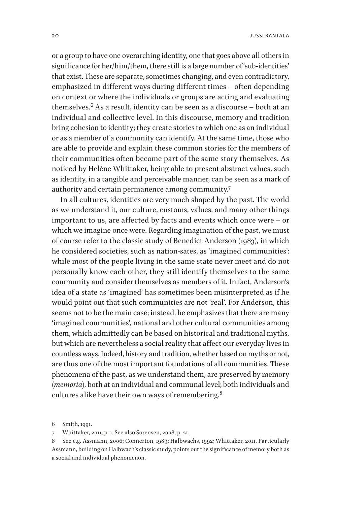or a group to have one overarching identity, one that goes above all others in significance for her/him/them, there still is a large number of 'sub-identities' that exist. These are separate, sometimes changing, and even contradictory, emphasized in different ways during different times – often depending on context or where the individuals or groups are acting and evaluating themselves. $6$  As a result, identity can be seen as a discourse – both at an individual and collective level. In this discourse, memory and tradition bring cohesion to identity; they create stories to which one as an individual or as a member of a community can identify. At the same time, those who are able to provide and explain these common stories for the members of their communities often become part of the same story themselves. As noticed by Helène Whittaker, being able to present abstract values, such as identity, in a tangible and perceivable manner, can be seen as a mark of authority and certain permanence among community.7

In all cultures, identities are very much shaped by the past. The world as we understand it, our culture, customs, values, and many other things important to us, are affected by facts and events which once were – or which we imagine once were. Regarding imagination of the past, we must of course refer to the classic study of Benedict Anderson (1983), in which he considered societies, such as nation-sates, as 'imagined communities': while most of the people living in the same state never meet and do not personally know each other, they still identify themselves to the same community and consider themselves as members of it. In fact, Anderson's idea of a state as 'imagined' has sometimes been misinterpreted as if he would point out that such communities are not 'real'. For Anderson, this seems not to be the main case; instead, he emphasizes that there are many 'imagined communities', national and other cultural communities among them, which admittedly can be based on historical and traditional myths, but which are nevertheless a social reality that affect our everyday lives in countless ways. Indeed, history and tradition, whether based on myths or not, are thus one of the most important foundations of all communities. These phenomena of the past, as we understand them, are preserved by memory (*memoria*), both at an individual and communal level; both individuals and cultures alike have their own ways of remembering.<sup>8</sup>

<sup>6</sup> Smith, 1991.

<sup>7</sup> Whittaker, 2011, p. 1. See also Sorensen, 2008, p. 21.

<sup>8</sup> See e.g. Assmann, 2006; Connerton, 1989; Halbwachs, 1992; Whittaker, 2011. Particularly Assmann, building on Halbwach's classic study, points out the significance of memory both as a social and individual phenomenon.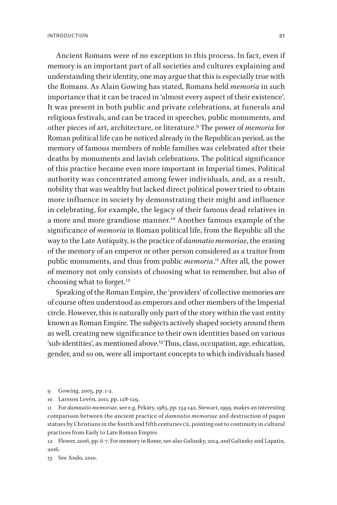Ancient Romans were of no exception to this process. In fact, even if memory is an important part of all societies and cultures explaining and understanding their identity, one may argue that this is especially true with the Romans. As Alain Gowing has stated, Romans held *memoria* in such importance that it can be traced in 'almost every aspect of their existence'. It was present in both public and private celebrations, at funerals and religious festivals, and can be traced in speeches, public monuments, and other pieces of art, architecture, or literature.9 The power of *memoria* for Roman political life can be noticed already in the Republican period, as the memory of famous members of noble families was celebrated after their deaths by monuments and lavish celebrations. The political significance of this practice became even more important in Imperial times. Political authority was concentrated among fewer individuals, and, as a result, nobility that was wealthy but lacked direct political power tried to obtain more influence in society by demonstrating their might and influence in celebrating, for example, the legacy of their famous dead relatives in a more and more grandiose manner.<sup>10</sup> Another famous example of the significance of *memoria* in Roman political life, from the Republic all the way to the Late Antiquity, is the practice of *damnatio memoriae*, the erasing of the memory of an emperor or other person considered as a traitor from public monuments, and thus from public *memoria*. 11 After all, the power of memory not only consists of choosing what to remember, but also of choosing what to forget.<sup>12</sup>

Speaking of the Roman Empire, the 'providers' of collective memories are of course often understood as emperors and other members of the Imperial circle. However, this is naturally only part of the story within the vast entity known as Roman Empire. The subjects actively shaped society around them as well, creating new significance to their own identities based on various 'sub-identities', as mentioned above.13 Thus, class, occupation, age, education, gender, and so on, were all important concepts to which individuals based

12 Flower, 2006, pp. 6-7. For memory in Rome, see also Galinsky, 2014, and Galinsky and Lapatin, 2016.

13 See Ando, 2010.

<sup>9</sup> Gowing, 2005, pp. 1-2.

<sup>10</sup> Larsson Lovén, 2011, pp. 128-129.

<sup>11</sup> For *damnatio memoriae*, see e.g. Pekáry, 1985, pp. 134-142. Stewart, 1999, makes an interesting comparison between the ancient practice of *damnatio memoriae* and destruction of pagan statues by Christians in the fourth and fifth centuries ce, pointing out to continuity in cultural practices from Early to Late Roman Empire.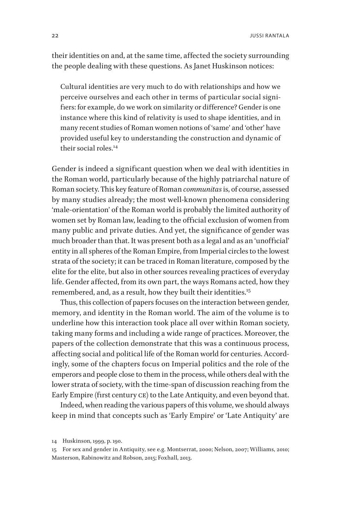22 Jussi Rantala

their identities on and, at the same time, affected the society surrounding the people dealing with these questions. As Janet Huskinson notices:

Cultural identities are very much to do with relationships and how we perceive ourselves and each other in terms of particular social signifiers: for example, do we work on similarity or difference? Gender is one instance where this kind of relativity is used to shape identities, and in many recent studies of Roman women notions of 'same' and 'other' have provided useful key to understanding the construction and dynamic of their social roles.<sup>14</sup>

Gender is indeed a significant question when we deal with identities in the Roman world, particularly because of the highly patriarchal nature of Roman society. This key feature of Roman *communitas* is, of course, assessed by many studies already; the most well-known phenomena considering 'male-orientation' of the Roman world is probably the limited authority of women set by Roman law, leading to the official exclusion of women from many public and private duties. And yet, the significance of gender was much broader than that. It was present both as a legal and as an 'unofficial' entity in all spheres of the Roman Empire, from Imperial circles to the lowest strata of the society; it can be traced in Roman literature, composed by the elite for the elite, but also in other sources revealing practices of everyday life. Gender affected, from its own part, the ways Romans acted, how they remembered, and, as a result, how they built their identities.<sup>15</sup>

Thus, this collection of papers focuses on the interaction between gender, memory, and identity in the Roman world. The aim of the volume is to underline how this interaction took place all over within Roman society, taking many forms and including a wide range of practices. Moreover, the papers of the collection demonstrate that this was a continuous process, affecting social and political life of the Roman world for centuries. Accordingly, some of the chapters focus on Imperial politics and the role of the emperors and people close to them in the process, while others deal with the lower strata of society, with the time-span of discussion reaching from the Early Empire (first century ce) to the Late Antiquity, and even beyond that.

Indeed, when reading the various papers of this volume, we should always keep in mind that concepts such as 'Early Empire' or 'Late Antiquity' are

<sup>14</sup> Huskinson, 1999, p. 190.

<sup>15</sup> For sex and gender in Antiquity, see e.g. Montserrat, 2000; Nelson, 2007; Williams, 2010; Masterson, Rabinowitz and Robson, 2015; Foxhall, 2013.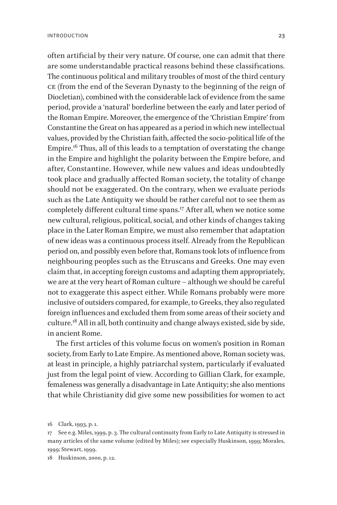often artificial by their very nature. Of course, one can admit that there are some understandable practical reasons behind these classifications. The continuous political and military troubles of most of the third century ce (from the end of the Severan Dynasty to the beginning of the reign of Diocletian), combined with the considerable lack of evidence from the same period, provide a 'natural' borderline between the early and later period of the Roman Empire. Moreover, the emergence of the 'Christian Empire' from Constantine the Great on has appeared as a period in which new intellectual values, provided by the Christian faith, affected the socio-political life of the Empire.<sup>16</sup> Thus, all of this leads to a temptation of overstating the change in the Empire and highlight the polarity between the Empire before, and after, Constantine. However, while new values and ideas undoubtedly took place and gradually affected Roman society, the totality of change should not be exaggerated. On the contrary, when we evaluate periods such as the Late Antiquity we should be rather careful not to see them as completely different cultural time spans.<sup>17</sup> After all, when we notice some new cultural, religious, political, social, and other kinds of changes taking place in the Later Roman Empire, we must also remember that adaptation of new ideas was a continuous process itself. Already from the Republican period on, and possibly even before that, Romans took lots of influence from neighbouring peoples such as the Etruscans and Greeks. One may even claim that, in accepting foreign customs and adapting them appropriately, we are at the very heart of Roman culture – although we should be careful not to exaggerate this aspect either. While Romans probably were more inclusive of outsiders compared, for example, to Greeks, they also regulated foreign influences and excluded them from some areas of their society and culture.18 All in all, both continuity and change always existed, side by side, in ancient Rome.

The first articles of this volume focus on women's position in Roman society, from Early to Late Empire. As mentioned above, Roman society was, at least in principle, a highly patriarchal system, particularly if evaluated just from the legal point of view. According to Gillian Clark, for example, femaleness was generally a disadvantage in Late Antiquity; she also mentions that while Christianity did give some new possibilities for women to act

18 Huskinson, 2000, p. 12.

<sup>16</sup> Clark, 1993, p. 1.

<sup>17</sup> See e.g. Miles, 1999, p. 3. The cultural continuity from Early to Late Antiquity is stressed in many articles of the same volume (edited by Miles); see especially Huskinson, 1999; Morales, 1999; Stewart, 1999.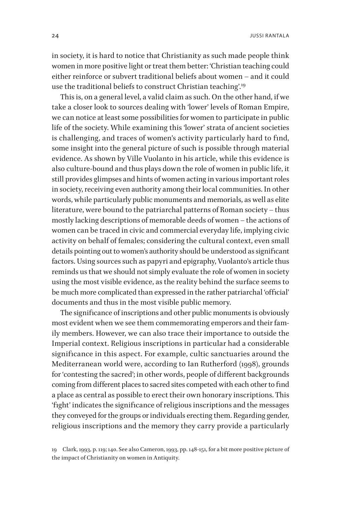24 Jussi Rantala

in society, it is hard to notice that Christianity as such made people think women in more positive light or treat them better: 'Christian teaching could either reinforce or subvert traditional beliefs about women – and it could use the traditional beliefs to construct Christian teaching'.<sup>19</sup>

This is, on a general level, a valid claim as such. On the other hand, if we take a closer look to sources dealing with 'lower' levels of Roman Empire, we can notice at least some possibilities for women to participate in public life of the society. While examining this 'lower' strata of ancient societies is challenging, and traces of women's activity particularly hard to find, some insight into the general picture of such is possible through material evidence. As shown by Ville Vuolanto in his article, while this evidence is also culture-bound and thus plays down the role of women in public life, it still provides glimpses and hints of women acting in various important roles in society, receiving even authority among their local communities. In other words, while particularly public monuments and memorials, as well as elite literature, were bound to the patriarchal patterns of Roman society – thus mostly lacking descriptions of memorable deeds of women – the actions of women can be traced in civic and commercial everyday life, implying civic activity on behalf of females; considering the cultural context, even small details pointing out to women's authority should be understood as significant factors. Using sources such as papyri and epigraphy, Vuolanto's article thus reminds us that we should not simply evaluate the role of women in society using the most visible evidence, as the reality behind the surface seems to be much more complicated than expressed in the rather patriarchal 'official' documents and thus in the most visible public memory.

The significance of inscriptions and other public monuments is obviously most evident when we see them commemorating emperors and their family members. However, we can also trace their importance to outside the Imperial context. Religious inscriptions in particular had a considerable significance in this aspect. For example, cultic sanctuaries around the Mediterranean world were, according to Ian Rutherford (1998), grounds for 'contesting the sacred'; in other words, people of different backgrounds coming from different places to sacred sites competed with each other to find a place as central as possible to erect their own honorary inscriptions. This 'fight' indicates the significance of religious inscriptions and the messages they conveyed for the groups or individuals erecting them. Regarding gender, religious inscriptions and the memory they carry provide a particularly

<sup>19</sup> Clark, 1993, p. 119; 140. See also Cameron, 1993, pp. 148-151, for a bit more positive picture of the impact of Christianity on women in Antiquity.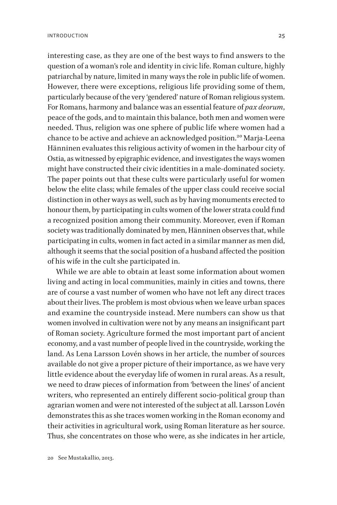interesting case, as they are one of the best ways to find answers to the question of a woman's role and identity in civic life. Roman culture, highly patriarchal by nature, limited in many ways the role in public life of women. However, there were exceptions, religious life providing some of them, particularly because of the very 'gendered' nature of Roman religious system. For Romans, harmony and balance was an essential feature of *pax deorum*, peace of the gods, and to maintain this balance, both men and women were needed. Thus, religion was one sphere of public life where women had a chance to be active and achieve an acknowledged position.<sup>20</sup> Marja-Leena Hänninen evaluates this religious activity of women in the harbour city of Ostia, as witnessed by epigraphic evidence, and investigates the ways women might have constructed their civic identities in a male-dominated society. The paper points out that these cults were particularly useful for women below the elite class; while females of the upper class could receive social distinction in other ways as well, such as by having monuments erected to honour them, by participating in cults women of the lower strata could find a recognized position among their community. Moreover, even if Roman society was traditionally dominated by men, Hänninen observes that, while participating in cults, women in fact acted in a similar manner as men did, although it seems that the social position of a husband affected the position of his wife in the cult she participated in.

While we are able to obtain at least some information about women living and acting in local communities, mainly in cities and towns, there are of course a vast number of women who have not left any direct traces about their lives. The problem is most obvious when we leave urban spaces and examine the countryside instead. Mere numbers can show us that women involved in cultivation were not by any means an insignificant part of Roman society. Agriculture formed the most important part of ancient economy, and a vast number of people lived in the countryside, working the land. As Lena Larsson Lovén shows in her article, the number of sources available do not give a proper picture of their importance, as we have very little evidence about the everyday life of women in rural areas. As a result, we need to draw pieces of information from 'between the lines' of ancient writers, who represented an entirely different socio-political group than agrarian women and were not interested of the subject at all. Larsson Lovén demonstrates this as she traces women working in the Roman economy and their activities in agricultural work, using Roman literature as her source. Thus, she concentrates on those who were, as she indicates in her article,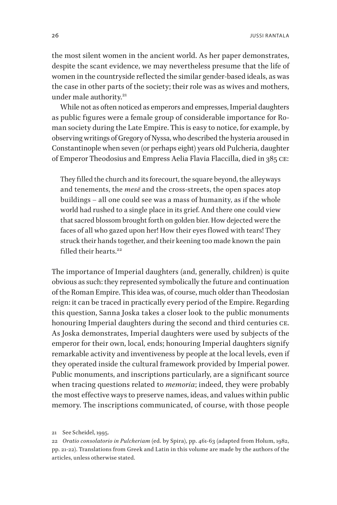26 Jussi Rantala

the most silent women in the ancient world. As her paper demonstrates, despite the scant evidence, we may nevertheless presume that the life of women in the countryside reflected the similar gender-based ideals, as was the case in other parts of the society; their role was as wives and mothers, under male authority.<sup>21</sup>

While not as often noticed as emperors and empresses, Imperial daughters as public figures were a female group of considerable importance for Roman society during the Late Empire. This is easy to notice, for example, by observing writings of Gregory of Nyssa, who described the hysteria aroused in Constantinople when seven (or perhaps eight) years old Pulcheria, daughter of Emperor Theodosius and Empress Aelia Flavia Flaccilla, died in 385 ce:

They filled the church and its forecourt, the square beyond, the alleyways and tenements, the *mesē* and the cross-streets, the open spaces atop buildings – all one could see was a mass of humanity, as if the whole world had rushed to a single place in its grief. And there one could view that sacred blossom brought forth on golden bier. How dejected were the faces of all who gazed upon her! How their eyes flowed with tears! They struck their hands together, and their keening too made known the pain filled their hearts<sup>22</sup>

The importance of Imperial daughters (and, generally, children) is quite obvious as such: they represented symbolically the future and continuation of the Roman Empire. This idea was, of course, much older than Theodosian reign: it can be traced in practically every period of the Empire. Regarding this question, Sanna Joska takes a closer look to the public monuments honouring Imperial daughters during the second and third centuries ce. As Joska demonstrates, Imperial daughters were used by subjects of the emperor for their own, local, ends; honouring Imperial daughters signify remarkable activity and inventiveness by people at the local levels, even if they operated inside the cultural framework provided by Imperial power. Public monuments, and inscriptions particularly, are a significant source when tracing questions related to *memoria*; indeed, they were probably the most effective ways to preserve names, ideas, and values within public memory. The inscriptions communicated, of course, with those people

<sup>21</sup> See Scheidel, 1995.

<sup>22</sup> *Oratio consolatorio in Pulcheriam (*ed. by Spira), pp. 461-63 (adapted from Holum, 1982, pp. 21-22). Translations from Greek and Latin in this volume are made by the authors of the articles, unless otherwise stated.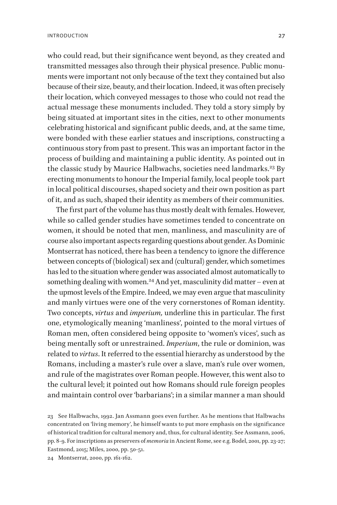who could read, but their significance went beyond, as they created and transmitted messages also through their physical presence. Public monuments were important not only because of the text they contained but also because of their size, beauty, and their location. Indeed, it was often precisely their location, which conveyed messages to those who could not read the actual message these monuments included. They told a story simply by being situated at important sites in the cities, next to other monuments celebrating historical and significant public deeds, and, at the same time, were bonded with these earlier statues and inscriptions, constructing a continuous story from past to present. This was an important factor in the process of building and maintaining a public identity. As pointed out in the classic study by Maurice Halbwachs, societies need landmarks.<sup>23</sup> By erecting monuments to honour the Imperial family, local people took part in local political discourses, shaped society and their own position as part of it, and as such, shaped their identity as members of their communities.

The first part of the volume has thus mostly dealt with females. However, while so called gender studies have sometimes tended to concentrate on women, it should be noted that men, manliness, and masculinity are of course also important aspects regarding questions about gender. As Dominic Montserrat has noticed, there has been a tendency to ignore the difference between concepts of (biological) sex and (cultural) gender, which sometimes has led to the situation where gender was associated almost automatically to something dealing with women.<sup>24</sup> And yet, masculinity did matter – even at the upmost levels of the Empire. Indeed, we may even argue that masculinity and manly virtues were one of the very cornerstones of Roman identity. Two concepts, *virtus* and *imperium,* underline this in particular. The first one, etymologically meaning 'manliness', pointed to the moral virtues of Roman men, often considered being opposite to 'women's vices', such as being mentally soft or unrestrained. *Imperium*, the rule or dominion, was related to *virtus*. It referred to the essential hierarchy as understood by the Romans, including a master's rule over a slave, man's rule over women, and rule of the magistrates over Roman people. However, this went also to the cultural level; it pointed out how Romans should rule foreign peoples and maintain control over 'barbarians'; in a similar manner a man should

<sup>23</sup> See Halbwachs, 1992. Jan Assmann goes even further. As he mentions that Halbwachs concentrated on 'living memory', he himself wants to put more emphasis on the significance of historical tradition for cultural memory and, thus, for cultural identity. See Assmann, 2006, pp. 8-9. For inscriptions as preservers of *memoria* in Ancient Rome, see e.g. Bodel, 2001, pp. 23-27; Eastmond, 2015; Miles, 2000, pp. 50-51.

<sup>24</sup> Montserrat, 2000, pp. 161-162.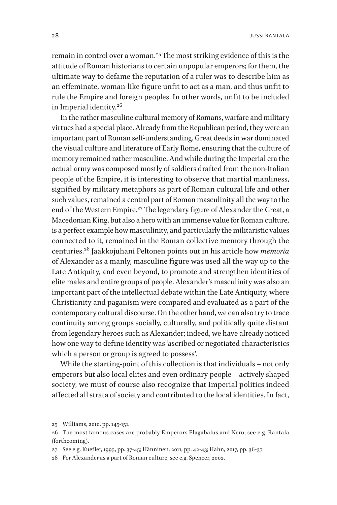remain in control over a woman.<sup>25</sup> The most striking evidence of this is the attitude of Roman historians to certain unpopular emperors; for them, the ultimate way to defame the reputation of a ruler was to describe him as an effeminate, woman-like figure unfit to act as a man, and thus unfit to rule the Empire and foreign peoples. In other words, unfit to be included in Imperial identity.<sup>26</sup>

In the rather masculine cultural memory of Romans, warfare and military virtues had a special place. Already from the Republican period, they were an important part of Roman self-understanding. Great deeds in war dominated the visual culture and literature of Early Rome, ensuring that the culture of memory remained rather masculine. And while during the Imperial era the actual army was composed mostly of soldiers drafted from the non-Italian people of the Empire, it is interesting to observe that martial manliness, signified by military metaphors as part of Roman cultural life and other such values, remained a central part of Roman masculinity all the way to the end of the Western Empire.<sup>27</sup> The legendary figure of Alexander the Great, a Macedonian King, but also a hero with an immense value for Roman culture, is a perfect example how masculinity, and particularly the militaristic values connected to it, remained in the Roman collective memory through the centuries.28 Jaakkojuhani Peltonen points out in his article how *memoria*  of Alexander as a manly, masculine figure was used all the way up to the Late Antiquity, and even beyond, to promote and strengthen identities of elite males and entire groups of people. Alexander's masculinity was also an important part of the intellectual debate within the Late Antiquity, where Christianity and paganism were compared and evaluated as a part of the contemporary cultural discourse. On the other hand, we can also try to trace continuity among groups socially, culturally, and politically quite distant from legendary heroes such as Alexander; indeed, we have already noticed how one way to define identity was 'ascribed or negotiated characteristics which a person or group is agreed to possess'.

While the starting-point of this collection is that individuals – not only emperors but also local elites and even ordinary people – actively shaped society, we must of course also recognize that Imperial politics indeed affected all strata of society and contributed to the local identities. In fact,

<sup>25</sup> Williams, 2010, pp. 145-151.

<sup>26</sup> The most famous cases are probably Emperors Elagabalus and Nero; see e.g. Rantala (forthcoming).

<sup>27</sup> See e.g. Kuefler, 1995, pp. 37-45; Hänninen, 2011, pp. 42-43; Hahn, 2017, pp. 36-37.

<sup>28</sup> For Alexander as a part of Roman culture, see e.g. Spencer, 2002.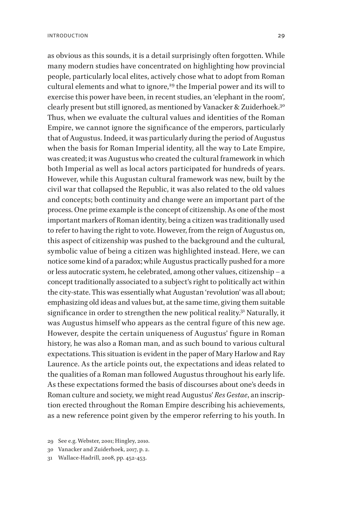as obvious as this sounds, it is a detail surprisingly often forgotten. While many modern studies have concentrated on highlighting how provincial people, particularly local elites, actively chose what to adopt from Roman cultural elements and what to ignore,<sup>29</sup> the Imperial power and its will to exercise this power have been, in recent studies, an 'elephant in the room', clearly present but still ignored, as mentioned by Vanacker & Zuiderhoek.30 Thus, when we evaluate the cultural values and identities of the Roman Empire, we cannot ignore the significance of the emperors, particularly that of Augustus. Indeed, it was particularly during the period of Augustus when the basis for Roman Imperial identity, all the way to Late Empire, was created; it was Augustus who created the cultural framework in which both Imperial as well as local actors participated for hundreds of years. However, while this Augustan cultural framework was new, built by the civil war that collapsed the Republic, it was also related to the old values and concepts; both continuity and change were an important part of the process. One prime example is the concept of citizenship. As one of the most important markers of Roman identity, being a citizen was traditionally used to refer to having the right to vote. However, from the reign of Augustus on, this aspect of citizenship was pushed to the background and the cultural, symbolic value of being a citizen was highlighted instead. Here, we can notice some kind of a paradox; while Augustus practically pushed for a more or less autocratic system, he celebrated, among other values, citizenship – a concept traditionally associated to a subject's right to politically act within the city-state. This was essentially what Augustan 'revolution' was all about; emphasizing old ideas and values but, at the same time, giving them suitable significance in order to strengthen the new political reality.<sup>31</sup> Naturally, it was Augustus himself who appears as the central figure of this new age. However, despite the certain uniqueness of Augustus' figure in Roman history, he was also a Roman man, and as such bound to various cultural expectations. This situation is evident in the paper of Mary Harlow and Ray Laurence. As the article points out, the expectations and ideas related to the qualities of a Roman man followed Augustus throughout his early life. As these expectations formed the basis of discourses about one's deeds in Roman culture and society, we might read Augustus' *Res Gestae*, an inscription erected throughout the Roman Empire describing his achievements, as a new reference point given by the emperor referring to his youth. In

<sup>29</sup> See e.g. Webster, 2001; Hingley, 2010.

<sup>30</sup> Vanacker and Zuiderhoek, 2017, p. 2.

<sup>31</sup> Wallace-Hadrill, 2008, pp. 452-453.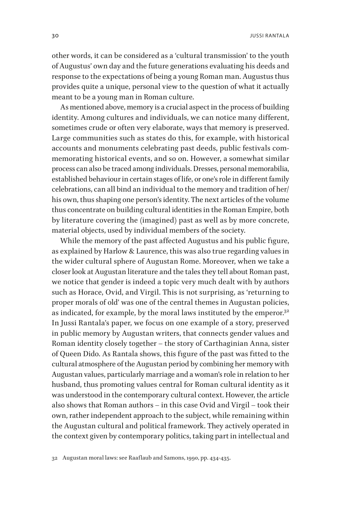30 Jussi Rantala

other words, it can be considered as a 'cultural transmission' to the youth of Augustus' own day and the future generations evaluating his deeds and response to the expectations of being a young Roman man. Augustus thus provides quite a unique, personal view to the question of what it actually meant to be a young man in Roman culture.

As mentioned above, memory is a crucial aspect in the process of building identity. Among cultures and individuals, we can notice many different, sometimes crude or often very elaborate, ways that memory is preserved. Large communities such as states do this, for example, with historical accounts and monuments celebrating past deeds, public festivals commemorating historical events, and so on. However, a somewhat similar process can also be traced among individuals. Dresses, personal memorabilia, established behaviour in certain stages of life, or one's role in different family celebrations, can all bind an individual to the memory and tradition of her/ his own, thus shaping one person's identity. The next articles of the volume thus concentrate on building cultural identities in the Roman Empire, both by literature covering the (imagined) past as well as by more concrete, material objects, used by individual members of the society.

While the memory of the past affected Augustus and his public figure, as explained by Harlow & Laurence, this was also true regarding values in the wider cultural sphere of Augustan Rome. Moreover, when we take a closer look at Augustan literature and the tales they tell about Roman past, we notice that gender is indeed a topic very much dealt with by authors such as Horace, Ovid, and Virgil. This is not surprising, as 'returning to proper morals of old' was one of the central themes in Augustan policies, as indicated, for example, by the moral laws instituted by the emperor.<sup>32</sup> In Jussi Rantala's paper, we focus on one example of a story, preserved in public memory by Augustan writers, that connects gender values and Roman identity closely together – the story of Carthaginian Anna, sister of Queen Dido. As Rantala shows, this figure of the past was fitted to the cultural atmosphere of the Augustan period by combining her memory with Augustan values, particularly marriage and a woman's role in relation to her husband, thus promoting values central for Roman cultural identity as it was understood in the contemporary cultural context. However, the article also shows that Roman authors – in this case Ovid and Virgil – took their own, rather independent approach to the subject, while remaining within the Augustan cultural and political framework. They actively operated in the context given by contemporary politics, taking part in intellectual and

<sup>32</sup> Augustan moral laws: see Raaflaub and Samons, 1990, pp. 434-435.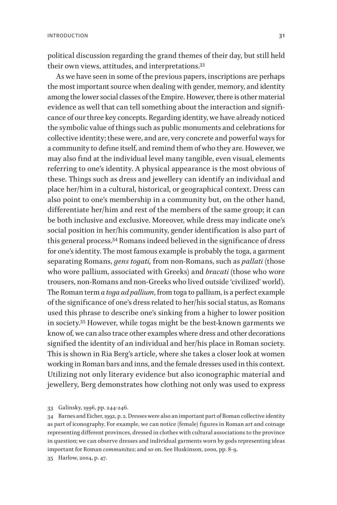political discussion regarding the grand themes of their day, but still held their own views, attitudes, and interpretations.33

As we have seen in some of the previous papers, inscriptions are perhaps the most important source when dealing with gender, memory, and identity among the lower social classes of the Empire. However, there is other material evidence as well that can tell something about the interaction and significance of our three key concepts. Regarding identity, we have already noticed the symbolic value of things such as public monuments and celebrations for collective identity; these were, and are, very concrete and powerful ways for a community to define itself, and remind them of who they are. However, we may also find at the individual level many tangible, even visual, elements referring to one's identity. A physical appearance is the most obvious of these. Things such as dress and jewellery can identify an individual and place her/him in a cultural, historical, or geographical context. Dress can also point to one's membership in a community but, on the other hand, differentiate her/him and rest of the members of the same group; it can be both inclusive and exclusive. Moreover, while dress may indicate one's social position in her/his community, gender identification is also part of this general process.34 Romans indeed believed in the significance of dress for one's identity. The most famous example is probably the toga, a garment separating Romans, *gens togati,* from non-Romans, such as *pallati* (those who wore pallium, associated with Greeks) and *bracati* (those who wore trousers, non-Romans and non-Greeks who lived outside 'civilized' world). The Roman term *a toga ad pallium*, from toga to pallium, is a perfect example of the significance of one's dress related to her/his social status, as Romans used this phrase to describe one's sinking from a higher to lower position in society.35 However, while togas might be the best-known garments we know of, we can also trace other examples where dress and other decorations signified the identity of an individual and her/his place in Roman society. This is shown in Ria Berg's article, where she takes a closer look at women working in Roman bars and inns, and the female dresses used in this context. Utilizing not only literary evidence but also iconographic material and jewellery, Berg demonstrates how clothing not only was used to express

33 Galinsky, 1996, pp. 244-246.

34 Barnes and Eicher, 1992, p. 2. Dresses were also an important part of Roman collective identity as part of iconography. For example, we can notice (female) figures in Roman art and coinage representing different provinces, dressed in clothes with cultural associations to the province in question; we can observe dresses and individual garments worn by gods representing ideas important for Roman *communitas*; and so on. See Huskinson, 2000, pp. 8-9.

35 Harlow, 2004, p. 47.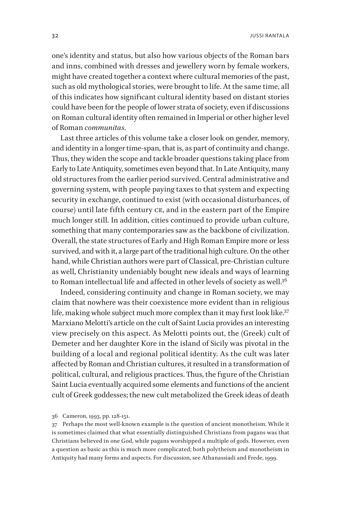one's identity and status, but also how various objects of the Roman bars and inns, combined with dresses and jewellery worn by female workers, might have created together a context where cultural memories of the past, such as old mythological stories, were brought to life. At the same time, all of this indicates how significant cultural identity based on distant stories could have been for the people of lower strata of society, even if discussions on Roman cultural identity often remained in Imperial or other higher level of Roman *communitas*.

Last three articles of this volume take a closer look on gender, memory, and identity in a longer time-span, that is, as part of continuity and change. Thus, they widen the scope and tackle broader questions taking place from Early to Late Antiquity, sometimes even beyond that. In Late Antiquity, many old structures from the earlier period survived. Central administrative and governing system, with people paying taxes to that system and expecting security in exchange, continued to exist (with occasional disturbances, of course) until late fifth century ce, and in the eastern part of the Empire much longer still. In addition, cities continued to provide urban culture, something that many contemporaries saw as the backbone of civilization. Overall, the state structures of Early and High Roman Empire more or less survived, and with it, a large part of the traditional high culture. On the other hand, while Christian authors were part of Classical, pre-Christian culture as well, Christianity undeniably bought new ideals and ways of learning to Roman intellectual life and affected in other levels of society as well. $3^6$ 

Indeed, considering continuity and change in Roman society, we may claim that nowhere was their coexistence more evident than in religious life, making whole subject much more complex than it may first look like.<sup>37</sup> Marxiano Melotti's article on the cult of Saint Lucia provides an interesting view precisely on this aspect. As Melotti points out, the (Greek) cult of Demeter and her daughter Kore in the island of Sicily was pivotal in the building of a local and regional political identity. As the cult was later affected by Roman and Christian cultures, it resulted in a transformation of political, cultural, and religious practices. Thus, the figure of the Christian Saint Lucia eventually acquired some elements and functions of the ancient cult of Greek goddesses; the new cult metabolized the Greek ideas of death

36 Cameron, 1993, pp. 128-151.

37 Perhaps the most well-known example is the question of ancient monotheism. While it is sometimes claimed that what essentially distinguished Christians from pagans was that Christians believed in one God, while pagans worshipped a multiple of gods. However, even a question as basic as this is much more complicated; both polytheism and monotheism in Antiquity had many forms and aspects. For discussion, see Athanassiadi and Frede, 1999.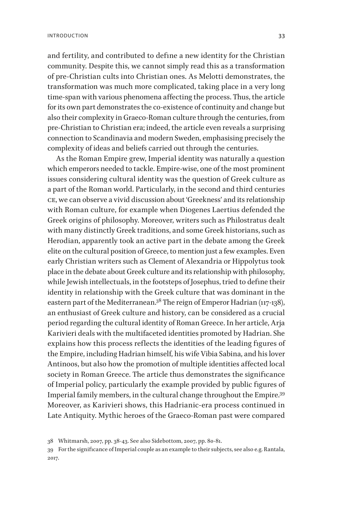and fertility, and contributed to define a new identity for the Christian community. Despite this, we cannot simply read this as a transformation of pre-Christian cults into Christian ones. As Melotti demonstrates, the transformation was much more complicated, taking place in a very long time-span with various phenomena affecting the process. Thus, the article for its own part demonstrates the co-existence of continuity and change but also their complexity in Graeco-Roman culture through the centuries, from pre-Christian to Christian era; indeed, the article even reveals a surprising connection to Scandinavia and modern Sweden, emphasising precisely the complexity of ideas and beliefs carried out through the centuries.

As the Roman Empire grew, Imperial identity was naturally a question which emperors needed to tackle. Empire-wise, one of the most prominent issues considering cultural identity was the question of Greek culture as a part of the Roman world. Particularly, in the second and third centuries ce, we can observe a vivid discussion about 'Greekness' and its relationship with Roman culture, for example when Diogenes Laertius defended the Greek origins of philosophy. Moreover, writers such as Philostratus dealt with many distinctly Greek traditions, and some Greek historians, such as Herodian, apparently took an active part in the debate among the Greek elite on the cultural position of Greece, to mention just a few examples. Even early Christian writers such as Clement of Alexandria or Hippolytus took place in the debate about Greek culture and its relationship with philosophy, while Jewish intellectuals, in the footsteps of Josephus, tried to define their identity in relationship with the Greek culture that was dominant in the eastern part of the Mediterranean.<sup>38</sup> The reign of Emperor Hadrian (117-138), an enthusiast of Greek culture and history, can be considered as a crucial period regarding the cultural identity of Roman Greece. In her article, Arja Karivieri deals with the multifaceted identities promoted by Hadrian. She explains how this process reflects the identities of the leading figures of the Empire, including Hadrian himself, his wife Vibia Sabina, and his lover Antinoos, but also how the promotion of multiple identities affected local society in Roman Greece. The article thus demonstrates the significance of Imperial policy, particularly the example provided by public figures of Imperial family members, in the cultural change throughout the Empire.39 Moreover, as Karivieri shows, this Hadrianic-era process continued in Late Antiquity. Mythic heroes of the Graeco-Roman past were compared

<sup>38</sup> Whitmarsh, 2007, pp. 38-43. See also Sidebottom, 2007, pp. 80-81.

<sup>39</sup> For the significance of Imperial couple as an example to their subjects, see also e.g. Rantala, 2017.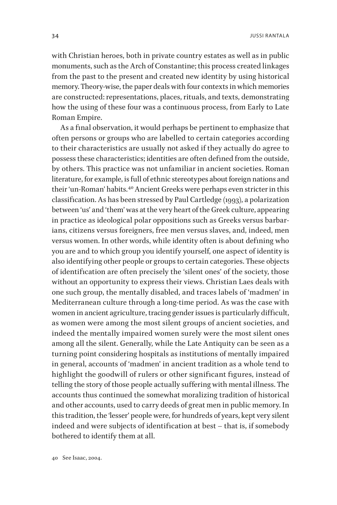with Christian heroes, both in private country estates as well as in public monuments, such as the Arch of Constantine; this process created linkages from the past to the present and created new identity by using historical memory. Theory-wise, the paper deals with four contexts in which memories are constructed: representations, places, rituals, and texts, demonstrating how the using of these four was a continuous process, from Early to Late Roman Empire.

As a final observation, it would perhaps be pertinent to emphasize that often persons or groups who are labelled to certain categories according to their characteristics are usually not asked if they actually do agree to possess these characteristics; identities are often defined from the outside, by others. This practice was not unfamiliar in ancient societies. Roman literature, for example, is full of ethnic stereotypes about foreign nations and their 'un-Roman' habits.40 Ancient Greeks were perhaps even stricter in this classification. As has been stressed by Paul Cartledge (1993), a polarization between 'us' and 'them' was at the very heart of the Greek culture, appearing in practice as ideological polar oppositions such as Greeks versus barbarians, citizens versus foreigners, free men versus slaves, and, indeed, men versus women. In other words, while identity often is about defining who you are and to which group you identify yourself, one aspect of identity is also identifying other people or groups to certain categories. These objects of identification are often precisely the 'silent ones' of the society, those without an opportunity to express their views. Christian Laes deals with one such group, the mentally disabled, and traces labels of 'madmen' in Mediterranean culture through a long-time period. As was the case with women in ancient agriculture, tracing gender issues is particularly difficult, as women were among the most silent groups of ancient societies, and indeed the mentally impaired women surely were the most silent ones among all the silent. Generally, while the Late Antiquity can be seen as a turning point considering hospitals as institutions of mentally impaired in general, accounts of 'madmen' in ancient tradition as a whole tend to highlight the goodwill of rulers or other significant figures, instead of telling the story of those people actually suffering with mental illness. The accounts thus continued the somewhat moralizing tradition of historical and other accounts, used to carry deeds of great men in public memory. In this tradition, the 'lesser' people were, for hundreds of years, kept very silent indeed and were subjects of identification at best – that is, if somebody bothered to identify them at all.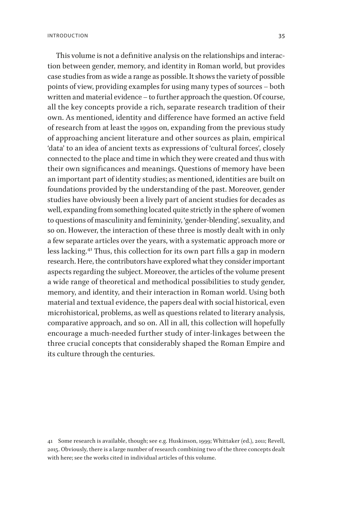This volume is not a definitive analysis on the relationships and interaction between gender, memory, and identity in Roman world, but provides case studies from as wide a range as possible. It shows the variety of possible points of view, providing examples for using many types of sources – both written and material evidence – to further approach the question. Of course, all the key concepts provide a rich, separate research tradition of their own. As mentioned, identity and difference have formed an active field of research from at least the 1990s on, expanding from the previous study of approaching ancient literature and other sources as plain, empirical 'data' to an idea of ancient texts as expressions of 'cultural forces', closely connected to the place and time in which they were created and thus with their own significances and meanings. Questions of memory have been an important part of identity studies; as mentioned, identities are built on foundations provided by the understanding of the past. Moreover, gender studies have obviously been a lively part of ancient studies for decades as well, expanding from something located quite strictly in the sphere of women to questions of masculinity and femininity, 'gender-blending', sexuality, and so on. However, the interaction of these three is mostly dealt with in only a few separate articles over the years, with a systematic approach more or less lacking.41 Thus, this collection for its own part fills a gap in modern research. Here, the contributors have explored what they consider important aspects regarding the subject. Moreover, the articles of the volume present a wide range of theoretical and methodical possibilities to study gender, memory, and identity, and their interaction in Roman world. Using both material and textual evidence, the papers deal with social historical, even microhistorical, problems, as well as questions related to literary analysis, comparative approach, and so on. All in all, this collection will hopefully encourage a much-needed further study of inter-linkages between the three crucial concepts that considerably shaped the Roman Empire and its culture through the centuries.

41 Some research is available, though; see e.g. Huskinson, 1999; Whittaker (ed.), 2011; Revell, 2015. Obviously, there is a large number of research combining two of the three concepts dealt with here; see the works cited in individual articles of this volume.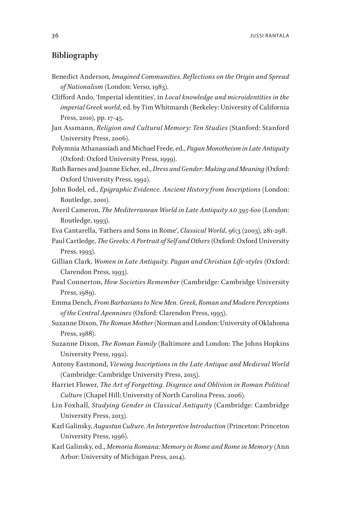36 Jussi Rantala

### **Bibliography**

- Benedict Anderson, *Imagined Communities. Reflections on the Origin and Spread of Nationalism* (London: Verso, 1983).
- Clifford Ando, 'Imperial identities', in *Local knowledge and microidentities in the imperial Greek world*, ed. by Tim Whitmarsh (Berkeley: University of California Press, 2010), pp. 17-45.
- Jan Assmann, *Religion and Cultural Memory: Ten Studies* (Stanford: Stanford University Press, 2006).
- Polymnia Athanassiadi and Michael Frede, ed., *Pagan Monotheism in Late Antiquity* (Oxford: Oxford University Press, 1999).
- Ruth Barnes and Joanne Eicher, ed., *Dress and Gender: Making and Meaning* (Oxford: Oxford University Press, 1992).
- John Bodel, ed., *Epigraphic Evidence. Ancient History from Inscriptions* (London: Routledge, 2001).
- Averil Cameron, *The Mediterranean World in Late Antiquity ad 395-600* (London: Routledge, 1993).

Eva Cantarella, 'Fathers and Sons in Rome', *Classical World*, 96:3 (2003), 281-298.

- Paul Cartledge, *The Greeks: A Portrait of Self and Others* (Oxford: Oxford University Press, 1993).
- Gillian Clark, *Women in Late Antiquity. Pagan and Christian Life-styles* (Oxford: Clarendon Press, 1993).
- Paul Connerton, *How Societies Remember* (Cambridge: Cambridge University Press, 1989).
- Emma Dench, *From Barbarians to New Men. Greek, Roman and Modern Perceptions of the Central Apennines* (Oxford: Clarendon Press, 1995).
- Suzanne Dixon, *The Roman Mother* (Norman and London: University of Oklahoma Press, 1988).
- Suzanne Dixon, *The Roman Family* (Baltimore and London: The Johns Hopkins University Press, 1992).
- Antony Eastmond, *Viewing Inscriptions in the Late Antique and Medieval World*  (Cambridge: Cambridge University Press, 2015).
- Harriet Flower, *The Art of Forgetting. Disgrace and Oblivion in Roman Political Culture* (Chapel Hill: University of North Carolina Press, 2006).
- Lin Foxhall, *Studying Gender in Classical Antiquity* (Cambridge: Cambridge University Press, 2013).
- Karl Galinsky, *Augustan Culture. An Interpretive Introduction* (Princeton: Princeton University Press, 1996).
- Karl Galinsky, ed., *Memoria Romana: Memory in Rome and Rome in Memory* (Ann Arbor: University of Michigan Press, 2014).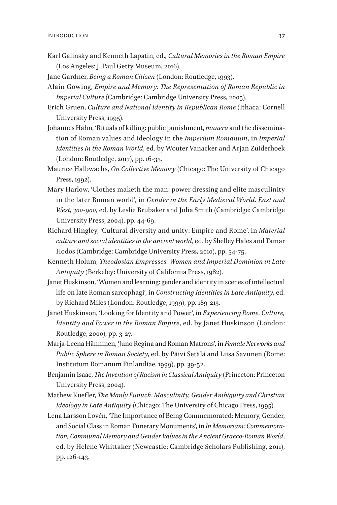- Karl Galinsky and Kenneth Lapatin, ed., *Cultural Memories in the Roman Empire*  (Los Angeles: J. Paul Getty Museum, 2016).
- Jane Gardner, *Being a Roman Citizen* (London: Routledge, 1993).
- Alain Gowing, *Empire and Memory: The Representation of Roman Republic in Imperial Culture* (Cambridge: Cambridge University Press, 2005).
- Erich Gruen, *Culture and National Identity in Republican Rome* (Ithaca: Cornell University Press, 1995).
- Johannes Hahn, 'Rituals of killing: public punishment, *munera* and the dissemination of Roman values and ideology in the *Imperium Romanum*, in *Imperial Identities in the Roman World*, ed. by Wouter Vanacker and Arjan Zuiderhoek (London: Routledge, 2017), pp. 16-35.
- Maurice Halbwachs, *On Collective Memory* (Chicago: The University of Chicago Press, 1992).
- Mary Harlow, 'Clothes maketh the man: power dressing and elite masculinity in the later Roman world', in *Gender in the Early Medieval World. East and West, 300*-*900*, ed. by Leslie Brubaker and Julia Smith (Cambridge: Cambridge University Press, 2004), pp. 44-69.
- Richard Hingley, 'Cultural diversity and unity: Empire and Rome', in *Material culture and social identities in the ancient world*, ed. by Shelley Hales and Tamar Hodos (Cambridge: Cambridge University Press, 2010), pp. 54-75.
- Kenneth Holum, *Theodosian Empresses. Women and Imperial Dominion in Late Antiquity* (Berkeley: University of California Press, 1982).
- Janet Huskinson, 'Women and learning: gender and identity in scenes of intellectual life on late Roman sarcophagi', in *Constructing Identities in Late Antiquity*, ed. by Richard Miles (London: Routledge, 1999), pp. 189-213.
- Janet Huskinson, 'Looking for Identity and Power', in *Experiencing Rome. Culture, Identity and Power in the Roman Empire*, ed. by Janet Huskinson (London: Routledge, 2000), pp. 3-27.
- Marja-Leena Hänninen, 'Juno Regina and Roman Matrons', in *Female Networks and Public Sphere in Roman Society*, ed. by Päivi Setälä and Liisa Savunen (Rome: Institutum Romanum Finlandiae, 1999), pp. 39-52.
- Benjamin Isaac, *The Invention of Racism in Classical Antiquity* (Princeton: Princeton University Press, 2004).
- Mathew Kuefler, *The Manly Eunuch*. *Masculinity, Gender Ambiguity and Christian Ideology in Late Antiquity* (Chicago: The University of Chicago Press, 1995).
- Lena Larsson Lovén, 'The Importance of Being Commemorated: Memory, Gender, and Social Class in Roman Funerary Monuments', in *In Memoriam: Commemoration, Communal Memory and Gender Values in the Ancient Graeco-Roman World*, ed. by Helène Whittaker (Newcastle: Cambridge Scholars Publishing, 2011), pp. 126-143.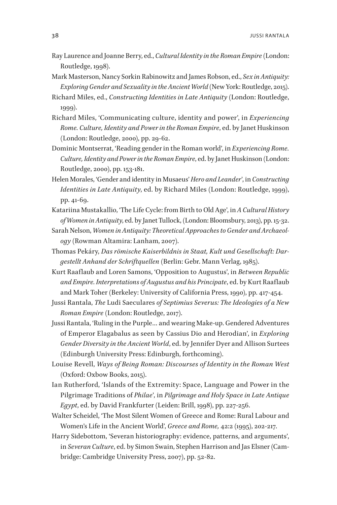- Ray Laurence and Joanne Berry, ed., *Cultural Identity in the Roman Empire* (London: Routledge, 1998).
- Mark Masterson, Nancy Sorkin Rabinowitz and James Robson, ed., *Sex in Antiquity: Exploring Gender and Sexuality in the Ancient World* (New York: Routledge, 2015).
- Richard Miles, ed., *Constructing Identities in Late Antiquity* (London: Routledge, 1999).
- Richard Miles, 'Communicating culture, identity and power', in *Experiencing Rome. Culture, Identity and Power in the Roman Empire*, ed. by Janet Huskinson (London: Routledge, 2000), pp. 29-62.
- Dominic Montserrat, 'Reading gender in the Roman world', in *Experiencing Rome. Culture, Identity and Power in the Roman Empire*, ed. by Janet Huskinson (London: Routledge, 2000), pp. 153-181.
- Helen Morales, 'Gender and identity in Musaeus' *Hero and Leander*', in *Constructing Identities in Late Antiquity*, ed. by Richard Miles (London: Routledge, 1999), pp. 41-69.
- Katariina Mustakallio, 'The Life Cycle: from Birth to Old Age', in *A Cultural History of Women in Antiquity*, ed. by Janet Tullock, (London: Bloomsbury, 2013), pp. 15-32.
- Sarah Nelson, *Women in Antiquity: Theoretical Approaches to Gender and Archaeology* (Rowman Altamira: Lanham, 2007).
- Thomas Pekáry, *Das römische Kaiserbildnis in Staat, Kult und Gesellschaft: Dargestellt Anhand der Schriftquellen* (Berlin: Gebr. Mann Verlag, 1985).
- Kurt Raaflaub and Loren Samons, 'Opposition to Augustus', in *Between Republic and Empire. Interpretations of Augustus and his Principate*, ed. by Kurt Raaflaub and Mark Toher (Berkeley: University of California Press, 1990), pp. 417-454.
- Jussi Rantala, *The* Ludi Saeculares *of Septimius Severus: The Ideologies of a New Roman Empire* (London: Routledge, 2017).
- Jussi Rantala, 'Ruling in the Purple… and wearing Make-up. Gendered Adventures of Emperor Elagabalus as seen by Cassius Dio and Herodian', in *Exploring Gender Diversity in the Ancient World*, ed. by Jennifer Dyer and Allison Surtees (Edinburgh University Press: Edinburgh, forthcoming).
- Louise Revell, *Ways of Being Roman: Discourses of Identity in the Roman West* (Oxford: Oxbow Books, 2015).
- Ian Rutherford, 'Islands of the Extremity: Space, Language and Power in the Pilgrimage Traditions of *Philae*', in *Pilgrimage and Holy Space in Late Antique Egypt*, ed. by David Frankfurter (Leiden: Brill, 1998), pp. 227-256.
- Walter Scheidel, 'The Most Silent Women of Greece and Rome: Rural Labour and Women's Life in the Ancient World', *Greece and Rome,* 42:2 (1995), 202-217.
- Harry Sidebottom, 'Severan historiography: evidence, patterns, and arguments', in *Severan Culture*, ed. by Simon Swain, Stephen Harrison and Jas Elsner (Cambridge: Cambridge University Press, 2007), pp. 52-82.